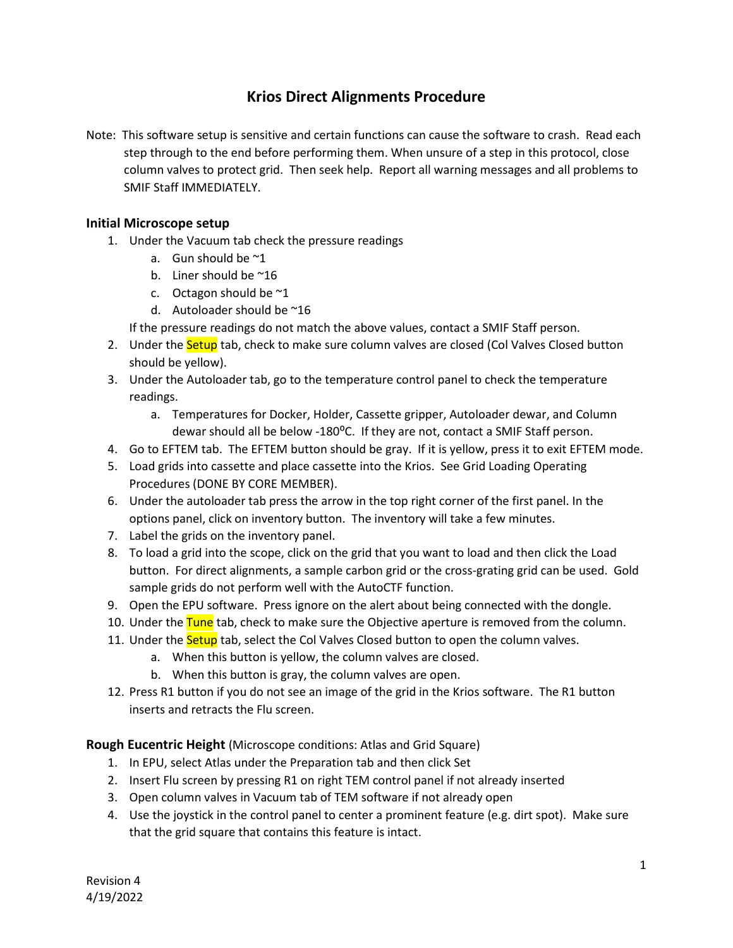# **Krios Direct Alignments Procedure**

Note: This software setup is sensitive and certain functions can cause the software to crash. Read each step through to the end before performing them. When unsure of a step in this protocol, close column valves to protect grid. Then seek help. Report all warning messages and all problems to SMIF Staff IMMEDIATELY.

#### **Initial Microscope setup**

- 1. Under the Vacuum tab check the pressure readings
	- a. Gun should be ~1
	- b. Liner should be  $^{\sim}16$
	- c. Octagon should be  $\approx 1$
	- d. Autoloader should be ~16

If the pressure readings do not match the above values, contact a SMIF Staff person.

- 2. Under the **Setup** tab, check to make sure column valves are closed (Col Valves Closed button should be yellow).
- 3. Under the Autoloader tab, go to the temperature control panel to check the temperature readings.
	- a. Temperatures for Docker, Holder, Cassette gripper, Autoloader dewar, and Column dewar should all be below -180<sup>o</sup>C. If they are not, contact a SMIF Staff person.
- 4. Go to EFTEM tab. The EFTEM button should be gray. If it is yellow, press it to exit EFTEM mode.
- 5. Load grids into cassette and place cassette into the Krios. See Grid Loading Operating Procedures (DONE BY CORE MEMBER).
- 6. Under the autoloader tab press the arrow in the top right corner of the first panel. In the options panel, click on inventory button. The inventory will take a few minutes.
- 7. Label the grids on the inventory panel.
- 8. To load a grid into the scope, click on the grid that you want to load and then click the Load button. For direct alignments, a sample carbon grid or the cross-grating grid can be used. Gold sample grids do not perform well with the AutoCTF function.
- 9. Open the EPU software. Press ignore on the alert about being connected with the dongle.
- 10. Under the Tune tab, check to make sure the Objective aperture is removed from the column.
- 11. Under the **Setup** tab, select the Col Valves Closed button to open the column valves.
	- a. When this button is yellow, the column valves are closed.
	- b. When this button is gray, the column valves are open.
- 12. Press R1 button if you do not see an image of the grid in the Krios software. The R1 button inserts and retracts the Flu screen.

**Rough Eucentric Height** (Microscope conditions: Atlas and Grid Square)

- 1. In EPU, select Atlas under the Preparation tab and then click Set
- 2. Insert Flu screen by pressing R1 on right TEM control panel if not already inserted
- 3. Open column valves in Vacuum tab of TEM software if not already open
- 4. Use the joystick in the control panel to center a prominent feature (e.g. dirt spot). Make sure that the grid square that contains this feature is intact.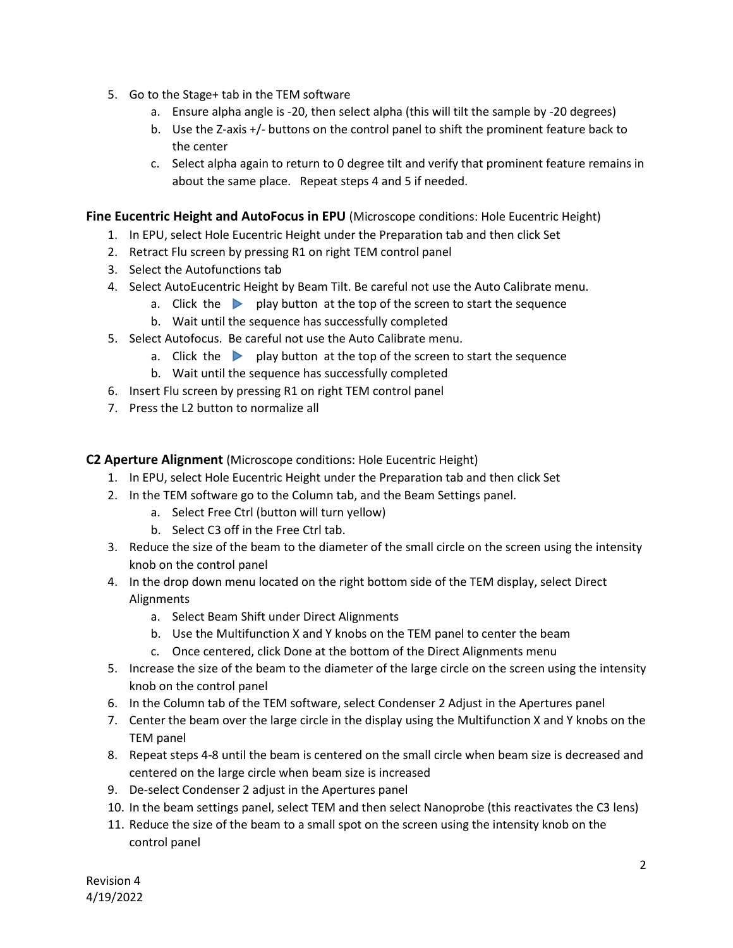- 5. Go to the Stage+ tab in the TEM software
	- a. Ensure alpha angle is -20, then select alpha (this will tilt the sample by -20 degrees)
	- b. Use the Z-axis +/- buttons on the control panel to shift the prominent feature back to the center
	- c. Select alpha again to return to 0 degree tilt and verify that prominent feature remains in about the same place. Repeat steps 4 and 5 if needed.

#### **Fine Eucentric Height and AutoFocus in EPU** (Microscope conditions: Hole Eucentric Height)

- 1. In EPU, select Hole Eucentric Height under the Preparation tab and then click Set
- 2. Retract Flu screen by pressing R1 on right TEM control panel
- 3. Select the Autofunctions tab
- 4. Select AutoEucentric Height by Beam Tilt. Be careful not use the Auto Calibrate menu.
	- a. Click the **p**lay button at the top of the screen to start the sequence
	- b. Wait until the sequence has successfully completed
- 5. Select Autofocus. Be careful not use the Auto Calibrate menu.
	- a. Click the **p** play button at the top of the screen to start the sequence
	- b. Wait until the sequence has successfully completed
- 6. Insert Flu screen by pressing R1 on right TEM control panel
- 7. Press the L2 button to normalize all

**C2 Aperture Alignment** (Microscope conditions: Hole Eucentric Height)

- 1. In EPU, select Hole Eucentric Height under the Preparation tab and then click Set
- 2. In the TEM software go to the Column tab, and the Beam Settings panel.
	- a. Select Free Ctrl (button will turn yellow)
	- b. Select C3 off in the Free Ctrl tab.
- 3. Reduce the size of the beam to the diameter of the small circle on the screen using the intensity knob on the control panel
- 4. In the drop down menu located on the right bottom side of the TEM display, select Direct Alignments
	- a. Select Beam Shift under Direct Alignments
	- b. Use the Multifunction X and Y knobs on the TEM panel to center the beam
	- c. Once centered, click Done at the bottom of the Direct Alignments menu
- 5. Increase the size of the beam to the diameter of the large circle on the screen using the intensity knob on the control panel
- 6. In the Column tab of the TEM software, select Condenser 2 Adjust in the Apertures panel
- 7. Center the beam over the large circle in the display using the Multifunction X and Y knobs on the TEM panel
- 8. Repeat steps 4-8 until the beam is centered on the small circle when beam size is decreased and centered on the large circle when beam size is increased
- 9. De-select Condenser 2 adjust in the Apertures panel
- 10. In the beam settings panel, select TEM and then select Nanoprobe (this reactivates the C3 lens)
- 11. Reduce the size of the beam to a small spot on the screen using the intensity knob on the control panel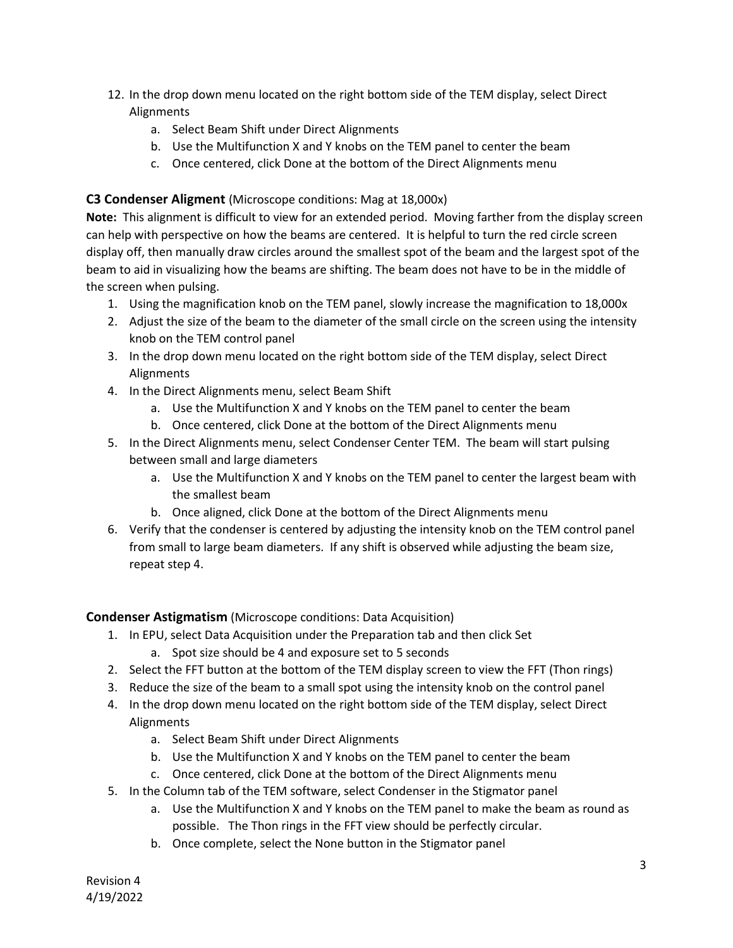- 12. In the drop down menu located on the right bottom side of the TEM display, select Direct Alignments
	- a. Select Beam Shift under Direct Alignments
	- b. Use the Multifunction X and Y knobs on the TEM panel to center the beam
	- c. Once centered, click Done at the bottom of the Direct Alignments menu

## **C3 Condenser Aligment** (Microscope conditions: Mag at 18,000x)

**Note:** This alignment is difficult to view for an extended period. Moving farther from the display screen can help with perspective on how the beams are centered. It is helpful to turn the red circle screen display off, then manually draw circles around the smallest spot of the beam and the largest spot of the beam to aid in visualizing how the beams are shifting. The beam does not have to be in the middle of the screen when pulsing.

- 1. Using the magnification knob on the TEM panel, slowly increase the magnification to 18,000x
- 2. Adjust the size of the beam to the diameter of the small circle on the screen using the intensity knob on the TEM control panel
- 3. In the drop down menu located on the right bottom side of the TEM display, select Direct Alignments
- 4. In the Direct Alignments menu, select Beam Shift
	- a. Use the Multifunction X and Y knobs on the TEM panel to center the beam
	- b. Once centered, click Done at the bottom of the Direct Alignments menu
- 5. In the Direct Alignments menu, select Condenser Center TEM. The beam will start pulsing between small and large diameters
	- a. Use the Multifunction X and Y knobs on the TEM panel to center the largest beam with the smallest beam
	- b. Once aligned, click Done at the bottom of the Direct Alignments menu
- 6. Verify that the condenser is centered by adjusting the intensity knob on the TEM control panel from small to large beam diameters. If any shift is observed while adjusting the beam size, repeat step 4.

**Condenser Astigmatism** (Microscope conditions: Data Acquisition)

- 1. In EPU, select Data Acquisition under the Preparation tab and then click Set
	- a. Spot size should be 4 and exposure set to 5 seconds
- 2. Select the FFT button at the bottom of the TEM display screen to view the FFT (Thon rings)
- 3. Reduce the size of the beam to a small spot using the intensity knob on the control panel
- 4. In the drop down menu located on the right bottom side of the TEM display, select Direct Alignments
	- a. Select Beam Shift under Direct Alignments
	- b. Use the Multifunction X and Y knobs on the TEM panel to center the beam
	- c. Once centered, click Done at the bottom of the Direct Alignments menu
- 5. In the Column tab of the TEM software, select Condenser in the Stigmator panel
	- a. Use the Multifunction X and Y knobs on the TEM panel to make the beam as round as possible. The Thon rings in the FFT view should be perfectly circular.
	- b. Once complete, select the None button in the Stigmator panel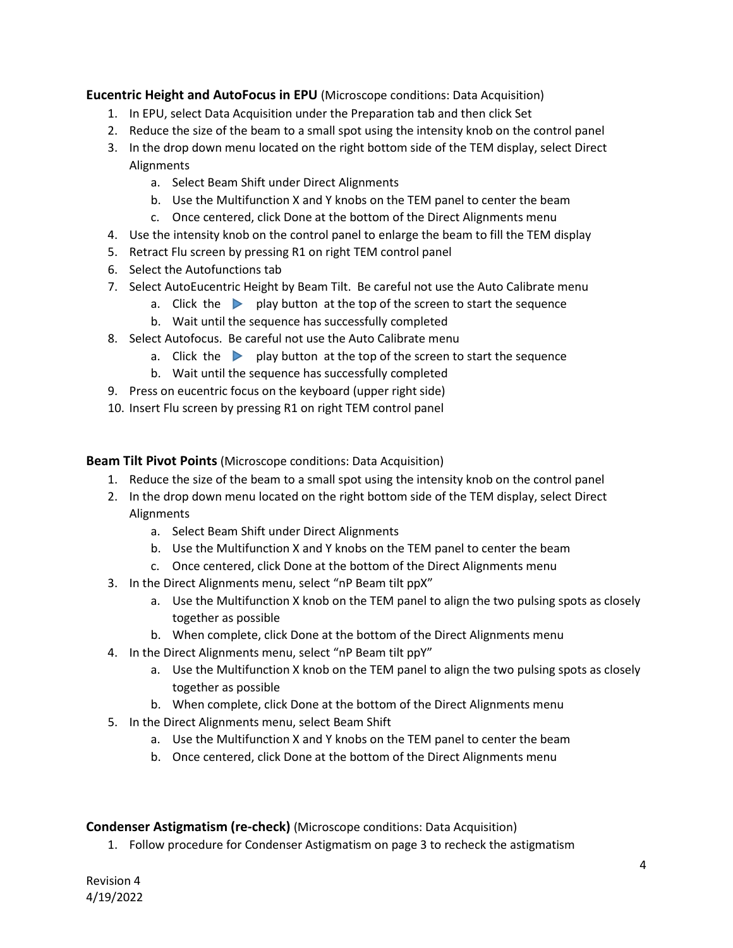**Eucentric Height and AutoFocus in EPU** (Microscope conditions: Data Acquisition)

- 1. In EPU, select Data Acquisition under the Preparation tab and then click Set
- 2. Reduce the size of the beam to a small spot using the intensity knob on the control panel
- 3. In the drop down menu located on the right bottom side of the TEM display, select Direct Alignments
	- a. Select Beam Shift under Direct Alignments
	- b. Use the Multifunction X and Y knobs on the TEM panel to center the beam
	- c. Once centered, click Done at the bottom of the Direct Alignments menu
- 4. Use the intensity knob on the control panel to enlarge the beam to fill the TEM display
- 5. Retract Flu screen by pressing R1 on right TEM control panel
- 6. Select the Autofunctions tab
- 7. Select AutoEucentric Height by Beam Tilt. Be careful not use the Auto Calibrate menu
	- a. Click the **p** play button at the top of the screen to start the sequence
	- b. Wait until the sequence has successfully completed
- 8. Select Autofocus. Be careful not use the Auto Calibrate menu
	- a. Click the **p** play button at the top of the screen to start the sequence
	- b. Wait until the sequence has successfully completed
- 9. Press on eucentric focus on the keyboard (upper right side)
- 10. Insert Flu screen by pressing R1 on right TEM control panel

**Beam Tilt Pivot Points** (Microscope conditions: Data Acquisition)

- 1. Reduce the size of the beam to a small spot using the intensity knob on the control panel
- 2. In the drop down menu located on the right bottom side of the TEM display, select Direct Alignments
	- a. Select Beam Shift under Direct Alignments
	- b. Use the Multifunction X and Y knobs on the TEM panel to center the beam
	- c. Once centered, click Done at the bottom of the Direct Alignments menu
- 3. In the Direct Alignments menu, select "nP Beam tilt ppX"
	- a. Use the Multifunction X knob on the TEM panel to align the two pulsing spots as closely together as possible
	- b. When complete, click Done at the bottom of the Direct Alignments menu
- 4. In the Direct Alignments menu, select "nP Beam tilt ppY"
	- a. Use the Multifunction X knob on the TEM panel to align the two pulsing spots as closely together as possible
	- b. When complete, click Done at the bottom of the Direct Alignments menu
- 5. In the Direct Alignments menu, select Beam Shift
	- a. Use the Multifunction X and Y knobs on the TEM panel to center the beam
	- b. Once centered, click Done at the bottom of the Direct Alignments menu

#### **Condenser Astigmatism (re-check)** (Microscope conditions: Data Acquisition)

1. Follow procedure for Condenser Astigmatism on page 3 to recheck the astigmatism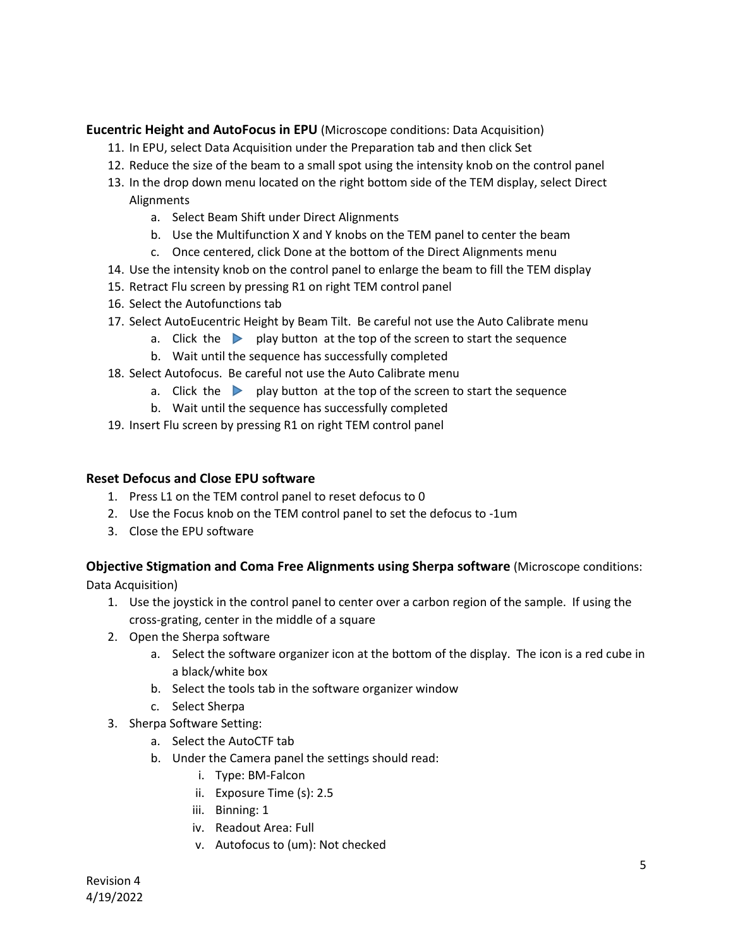#### **Eucentric Height and AutoFocus in EPU** (Microscope conditions: Data Acquisition)

- 11. In EPU, select Data Acquisition under the Preparation tab and then click Set
- 12. Reduce the size of the beam to a small spot using the intensity knob on the control panel
- 13. In the drop down menu located on the right bottom side of the TEM display, select Direct Alignments
	- a. Select Beam Shift under Direct Alignments
	- b. Use the Multifunction X and Y knobs on the TEM panel to center the beam
	- c. Once centered, click Done at the bottom of the Direct Alignments menu
- 14. Use the intensity knob on the control panel to enlarge the beam to fill the TEM display
- 15. Retract Flu screen by pressing R1 on right TEM control panel
- 16. Select the Autofunctions tab
- 17. Select AutoEucentric Height by Beam Tilt. Be careful not use the Auto Calibrate menu
	- a. Click the **p** play button at the top of the screen to start the sequence
	- b. Wait until the sequence has successfully completed
- 18. Select Autofocus. Be careful not use the Auto Calibrate menu
	- a. Click the  $\blacktriangleright$  play button at the top of the screen to start the sequence
	- b. Wait until the sequence has successfully completed
- 19. Insert Flu screen by pressing R1 on right TEM control panel

### **Reset Defocus and Close EPU software**

- 1. Press L1 on the TEM control panel to reset defocus to 0
- 2. Use the Focus knob on the TEM control panel to set the defocus to -1um
- 3. Close the EPU software

## **Objective Stigmation and Coma Free Alignments using Sherpa software** (Microscope conditions:

Data Acquisition)

- 1. Use the joystick in the control panel to center over a carbon region of the sample. If using the cross-grating, center in the middle of a square
- 2. Open the Sherpa software
	- a. Select the software organizer icon at the bottom of the display. The icon is a red cube in a black/white box
	- b. Select the tools tab in the software organizer window
	- c. Select Sherpa
- 3. Sherpa Software Setting:
	- a. Select the AutoCTF tab
	- b. Under the Camera panel the settings should read:
		- i. Type: BM-Falcon
		- ii. Exposure Time (s): 2.5
		- iii. Binning: 1
		- iv. Readout Area: Full
		- v. Autofocus to (um): Not checked